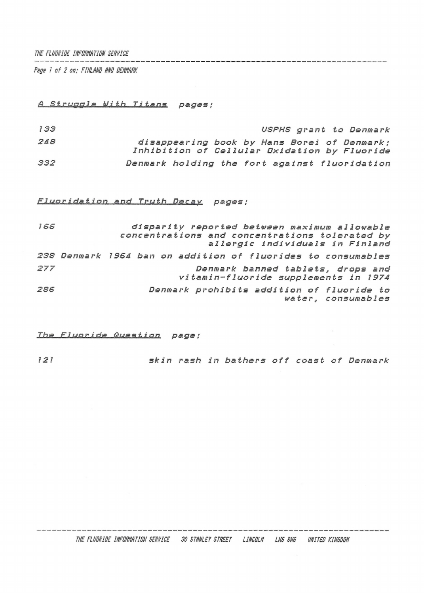*THE FLUORIDE INFORMATION SERVICE*

*Pigs <sup>1</sup> of 2 on; FINLAND AND DENMARK*

## *â\_..S.t i'uggle With Titans pages:*

 *USPHS grant to Denmark disappearing book by Hans Borei of Denmark ; Inhibition of Cellular Oxidation by Fluoride Denmark holding the fort against fluoridation*

*Fluoridation and Truth Decay pages ;*

| 166 |                                                              | disparity reported between maximum allowable<br>concentrations and concentrations tolerated by<br>allergic individuals in Finland |  |  |  |  |  |  |  |  |                                                                           |  |  |
|-----|--------------------------------------------------------------|-----------------------------------------------------------------------------------------------------------------------------------|--|--|--|--|--|--|--|--|---------------------------------------------------------------------------|--|--|
|     |                                                              |                                                                                                                                   |  |  |  |  |  |  |  |  |                                                                           |  |  |
|     | 238 Denmark 1964 ban on addition of fluorides to consumables |                                                                                                                                   |  |  |  |  |  |  |  |  |                                                                           |  |  |
| 277 |                                                              |                                                                                                                                   |  |  |  |  |  |  |  |  | Denmark banned tablets, drops and<br>vitamin-fluoride supplements in 1974 |  |  |
| 286 |                                                              |                                                                                                                                   |  |  |  |  |  |  |  |  | Denmark prohibits addition of fluoride to<br>water, consumables           |  |  |

*Ths Fl UQjj-i.dj2."Q.ues,t i on page ;*

*<sup>121</sup> skin rash in bathers off coast of Denmark*